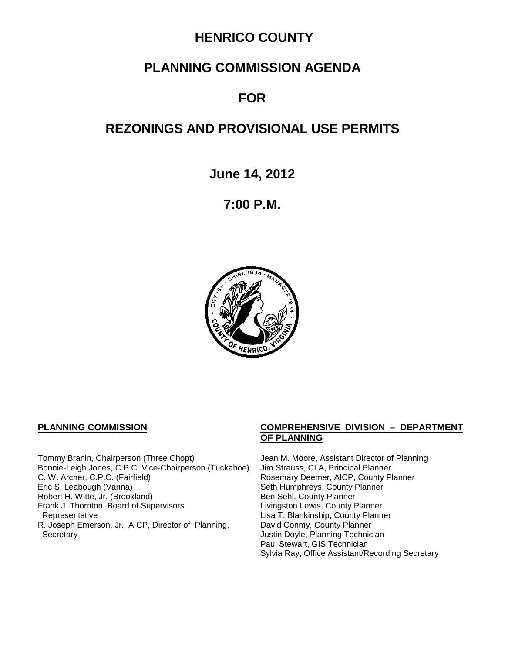# **HENRICO COUNTY**

# **PLANNING COMMISSION AGENDA**

# **FOR**

# **REZONINGS AND PROVISIONAL USE PERMITS**

**June 14, 2012**

**7:00 P.M.**



Tommy Branin, Chairperson (Three Chopt) Jean M. Moore, Assistant Director of Planning<br>Bonnie-Leigh Jones, C.P.C. Vice-Chairperson (Tuckahoe) Jim Strauss, CLA, Principal Planner Bonnie-Leigh Jones, C.P.C. Vice-Chairperson (Tuckahoe) C. W. Archer, C.P.C. (Fairfield) <br>
Eric S. Leabough (Varina) **Rosemary Deemer, AICP, County Planner**<br>
Seth Humphreys, County Planner Robert H. Witte, Jr. (Brookland) Ben Sehl, County Planner Frank J. Thornton, Board of Supervisors Representative R. Joseph Emerson, Jr., AICP, Director of Planning, Secretary **Secretary Justin Doyle, Planning Technician** 

#### **PLANNING COMMISSION COMPREHENSIVE DIVISION – DEPARTMENT OF PLANNING**

Seth Humphreys, County Planner<br>Ben Sehl, County Planner Lisa T. Blankinship, County Planner David Conmy, County Planner Paul Stewart, GIS Technician Sylvia Ray, Office Assistant/Recording Secretary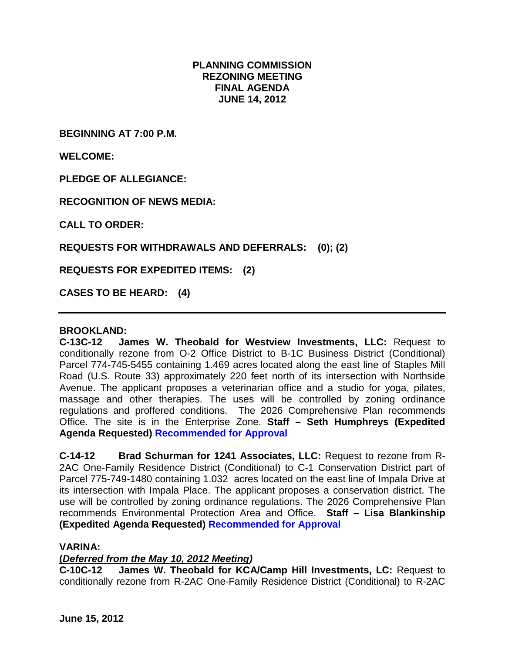## **PLANNING COMMISSION REZONING MEETING FINAL AGENDA JUNE 14, 2012**

**BEGINNING AT 7:00 P.M.**

**WELCOME:**

**PLEDGE OF ALLEGIANCE:**

**RECOGNITION OF NEWS MEDIA:**

**CALL TO ORDER:**

**REQUESTS FOR WITHDRAWALS AND DEFERRALS: (0); (2)**

**REQUESTS FOR EXPEDITED ITEMS: (2)**

**CASES TO BE HEARD: (4)**

## **BROOKLAND:**

**C-13C-12 James W. Theobald for Westview Investments, LLC:** Request to conditionally rezone from O-2 Office District to B-1C Business District (Conditional) Parcel 774-745-5455 containing 1.469 acres located along the east line of Staples Mill Road (U.S. Route 33) approximately 220 feet north of its intersection with Northside Avenue. The applicant proposes a veterinarian office and a studio for yoga, pilates, massage and other therapies. The uses will be controlled by zoning ordinance regulations and proffered conditions. The 2026 Comprehensive Plan recommends Office. The site is in the Enterprise Zone. **Staff – Seth Humphreys (Expedited Agenda Requested) Recommended for Approval**

**C-14-12 Brad Schurman for 1241 Associates, LLC:** Request to rezone from R-2AC One-Family Residence District (Conditional) to C-1 Conservation District part of Parcel 775-749-1480 containing 1.032 acres located on the east line of Impala Drive at its intersection with Impala Place. The applicant proposes a conservation district. The use will be controlled by zoning ordinance regulations. The 2026 Comprehensive Plan recommends Environmental Protection Area and Office. **Staff – Lisa Blankinship (Expedited Agenda Requested) Recommended for Approval**

### **VARINA:**

## **(***Deferred from the May 10, 2012 Meeting)*

**C-10C-12 James W. Theobald for KCA/Camp Hill Investments, LC:** Request to conditionally rezone from R-2AC One-Family Residence District (Conditional) to R-2AC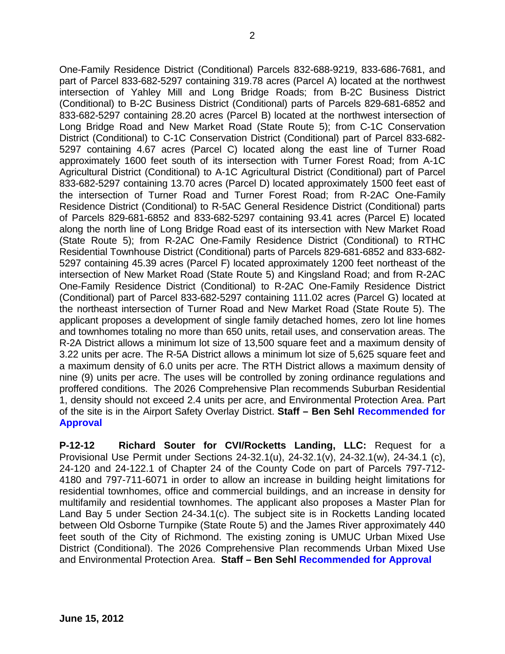One-Family Residence District (Conditional) Parcels 832-688-9219, 833-686-7681, and part of Parcel 833-682-5297 containing 319.78 acres (Parcel A) located at the northwest intersection of Yahley Mill and Long Bridge Roads; from B-2C Business District (Conditional) to B-2C Business District (Conditional) parts of Parcels 829-681-6852 and 833-682-5297 containing 28.20 acres (Parcel B) located at the northwest intersection of Long Bridge Road and New Market Road (State Route 5); from C-1C Conservation District (Conditional) to C-1C Conservation District (Conditional) part of Parcel 833-682- 5297 containing 4.67 acres (Parcel C) located along the east line of Turner Road approximately 1600 feet south of its intersection with Turner Forest Road; from A-1C Agricultural District (Conditional) to A-1C Agricultural District (Conditional) part of Parcel 833-682-5297 containing 13.70 acres (Parcel D) located approximately 1500 feet east of the intersection of Turner Road and Turner Forest Road; from R-2AC One-Family Residence District (Conditional) to R-5AC General Residence District (Conditional) parts of Parcels 829-681-6852 and 833-682-5297 containing 93.41 acres (Parcel E) located along the north line of Long Bridge Road east of its intersection with New Market Road (State Route 5); from R-2AC One-Family Residence District (Conditional) to RTHC Residential Townhouse District (Conditional) parts of Parcels 829-681-6852 and 833-682- 5297 containing 45.39 acres (Parcel F) located approximately 1200 feet northeast of the intersection of New Market Road (State Route 5) and Kingsland Road; and from R-2AC One-Family Residence District (Conditional) to R-2AC One-Family Residence District (Conditional) part of Parcel 833-682-5297 containing 111.02 acres (Parcel G) located at the northeast intersection of Turner Road and New Market Road (State Route 5). The applicant proposes a development of single family detached homes, zero lot line homes and townhomes totaling no more than 650 units, retail uses, and conservation areas. The R-2A District allows a minimum lot size of 13,500 square feet and a maximum density of 3.22 units per acre. The R-5A District allows a minimum lot size of 5,625 square feet and a maximum density of 6.0 units per acre. The RTH District allows a maximum density of nine (9) units per acre. The uses will be controlled by zoning ordinance regulations and proffered conditions. The 2026 Comprehensive Plan recommends Suburban Residential 1, density should not exceed 2.4 units per acre, and Environmental Protection Area. Part of the site is in the Airport Safety Overlay District. **Staff – Ben Sehl Recommended for Approval**

**P-12-12 Richard Souter for CVI/Rocketts Landing, LLC:** Request for a Provisional Use Permit under Sections 24-32.1(u), 24-32.1(v), 24-32.1(w), 24-34.1 (c), 24-120 and 24-122.1 of Chapter 24 of the County Code on part of Parcels 797-712- 4180 and 797-711-6071 in order to allow an increase in building height limitations for residential townhomes, office and commercial buildings, and an increase in density for multifamily and residential townhomes. The applicant also proposes a Master Plan for Land Bay 5 under Section 24-34.1(c). The subject site is in Rocketts Landing located between Old Osborne Turnpike (State Route 5) and the James River approximately 440 feet south of the City of Richmond. The existing zoning is UMUC Urban Mixed Use District (Conditional). The 2026 Comprehensive Plan recommends Urban Mixed Use and Environmental Protection Area. **Staff – Ben Sehl Recommended for Approval**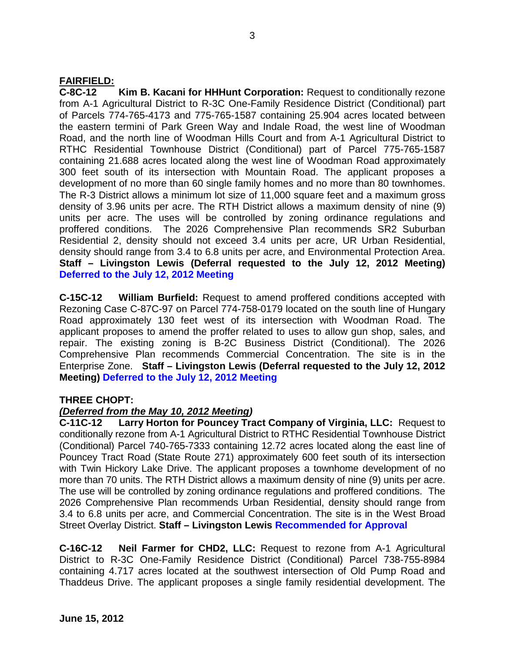## **FAIRFIELD:**

**C-8C-12 Kim B. Kacani for HHHunt Corporation:** Request to conditionally rezone from A-1 Agricultural District to R-3C One-Family Residence District (Conditional) part of Parcels 774-765-4173 and 775-765-1587 containing 25.904 acres located between the eastern termini of Park Green Way and Indale Road, the west line of Woodman Road, and the north line of Woodman Hills Court and from A-1 Agricultural District to RTHC Residential Townhouse District (Conditional) part of Parcel 775-765-1587 containing 21.688 acres located along the west line of Woodman Road approximately 300 feet south of its intersection with Mountain Road. The applicant proposes a development of no more than 60 single family homes and no more than 80 townhomes. The R-3 District allows a minimum lot size of 11,000 square feet and a maximum gross density of 3.96 units per acre. The RTH District allows a maximum density of nine (9) units per acre. The uses will be controlled by zoning ordinance regulations and proffered conditions. The 2026 Comprehensive Plan recommends SR2 Suburban Residential 2, density should not exceed 3.4 units per acre, UR Urban Residential, density should range from 3.4 to 6.8 units per acre, and Environmental Protection Area. **Staff – Livingston Lewis (Deferral requested to the July 12, 2012 Meeting) Deferred to the July 12, 2012 Meeting**

**C-15C-12 William Burfield:** Request to amend proffered conditions accepted with Rezoning Case C-87C-97 on Parcel 774-758-0179 located on the south line of Hungary Road approximately 130 feet west of its intersection with Woodman Road. The applicant proposes to amend the proffer related to uses to allow gun shop, sales, and repair. The existing zoning is B-2C Business District (Conditional). The 2026 Comprehensive Plan recommends Commercial Concentration. The site is in the Enterprise Zone. **Staff – Livingston Lewis (Deferral requested to the July 12, 2012 Meeting) Deferred to the July 12, 2012 Meeting**

### **THREE CHOPT:**

### *(Deferred from the May 10, 2012 Meeting)*

**C-11C-12 Larry Horton for Pouncey Tract Company of Virginia, LLC:** Request to conditionally rezone from A-1 Agricultural District to RTHC Residential Townhouse District (Conditional) Parcel 740-765-7333 containing 12.72 acres located along the east line of Pouncey Tract Road (State Route 271) approximately 600 feet south of its intersection with Twin Hickory Lake Drive. The applicant proposes a townhome development of no more than 70 units. The RTH District allows a maximum density of nine (9) units per acre. The use will be controlled by zoning ordinance regulations and proffered conditions. The 2026 Comprehensive Plan recommends Urban Residential, density should range from 3.4 to 6.8 units per acre, and Commercial Concentration. The site is in the West Broad Street Overlay District. **Staff – Livingston Lewis Recommended for Approval**

**C-16C-12 Neil Farmer for CHD2, LLC:** Request to rezone from A-1 Agricultural District to R-3C One-Family Residence District (Conditional) Parcel 738-755-8984 containing 4.717 acres located at the southwest intersection of Old Pump Road and Thaddeus Drive. The applicant proposes a single family residential development. The